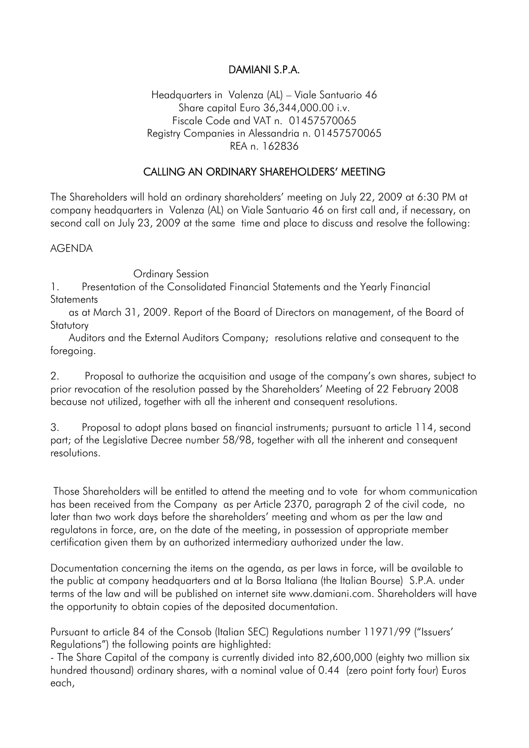## DAMIANI S.P.A.

## Headquarters in Valenza (AL) – Viale Santuario 46 Share capital Euro 36,344,000.00 i.v. Fiscale Code and VAT n. 01457570065 Registry Companies in Alessandria n. 01457570065 REA n. 162836

## CALLING AN ORDINARY SHAREHOLDERS' MEETING

The Shareholders will hold an ordinary shareholders' meeting on July 22, 2009 at 6:30 PM at company headquarters in Valenza (AL) on Viale Santuario 46 on first call and, if necessary, on second call on July 23, 2009 at the same time and place to discuss and resolve the following:

## AGENDA

Ordinary Session

1. Presentation of the Consolidated Financial Statements and the Yearly Financial **Statements** 

 as at March 31, 2009. Report of the Board of Directors on management, of the Board of **Statutory** 

 Auditors and the External Auditors Company; resolutions relative and consequent to the foregoing.

2. Proposal to authorize the acquisition and usage of the company's own shares, subject to prior revocation of the resolution passed by the Shareholders' Meeting of 22 February 2008 because not utilized, together with all the inherent and consequent resolutions.

3. Proposal to adopt plans based on financial instruments; pursuant to article 114, second part; of the Legislative Decree number 58/98, together with all the inherent and consequent resolutions.

 Those Shareholders will be entitled to attend the meeting and to vote for whom communication has been received from the Company as per Article 2370, paragraph 2 of the civil code, no later than two work days before the shareholders' meeting and whom as per the law and regulatons in force, are, on the date of the meeting, in possession of appropriate member certification given them by an authorized intermediary authorized under the law.

Documentation concerning the items on the agenda, as per laws in force, will be available to the public at company headquarters and at la Borsa Italiana (the Italian Bourse) S.P.A. under terms of the law and will be published on internet site www.damiani.com. Shareholders will have the opportunity to obtain copies of the deposited documentation.

Pursuant to article 84 of the Consob (Italian SEC) Regulations number 11971/99 ("Issuers' Regulations") the following points are highlighted:

- The Share Capital of the company is currently divided into 82,600,000 (eighty two million six hundred thousand) ordinary shares, with a nominal value of 0.44 (zero point forty four) Euros each,